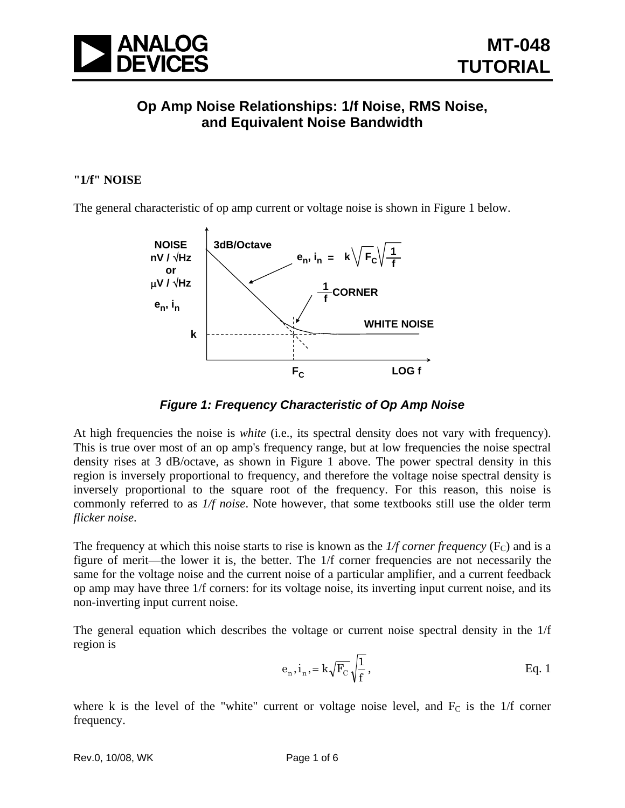

# **Op Amp Noise Relationships: 1/f Noise, RMS Noise, and Equivalent Noise Bandwidth**

### **"1/f" NOISE**

The general characteristic of op amp current or voltage noise is shown in Figure 1 below.



*Figure 1: Frequency Characteristic of Op Amp Noise* 

At high frequencies the noise is *white* (i.e., its spectral density does not vary with frequency). This is true over most of an op amp's frequency range, but at low frequencies the noise spectral density rises at 3 dB/octave, as shown in Figure 1 above. The power spectral density in this region is inversely proportional to frequency, and therefore the voltage noise spectral density is inversely proportional to the square root of the frequency. For this reason, this noise is commonly referred to as *1/f noise*. Note however, that some textbooks still use the older term *flicker noise*.

The frequency at which this noise starts to rise is known as the  $1/f$  *corner frequency* ( $F_c$ ) and is a figure of merit—the lower it is, the better. The 1/f corner frequencies are not necessarily the same for the voltage noise and the current noise of a particular amplifier, and a current feedback op amp may have three 1/f corners: for its voltage noise, its inverting input current noise, and its non-inverting input current noise.

The general equation which describes the voltage or current noise spectral density in the 1/f region is

$$
e_n, i_n = k \sqrt{F_C} \sqrt{\frac{1}{f}}, \qquad Eq. 1
$$

where k is the level of the "white" current or voltage noise level, and  $F_c$  is the 1/f corner frequency.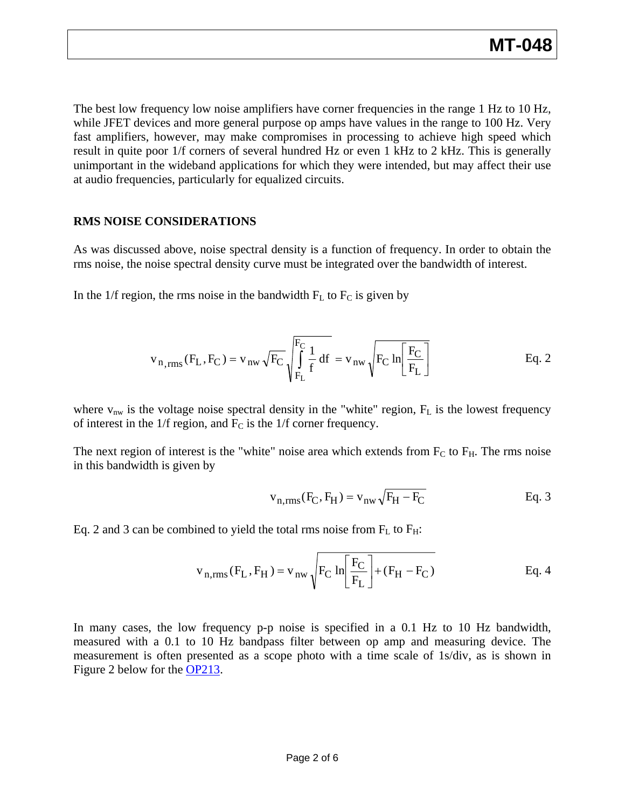The best low frequency low noise amplifiers have corner frequencies in the range 1 Hz to 10 Hz, while JFET devices and more general purpose op amps have values in the range to 100 Hz. Very fast amplifiers, however, may make compromises in processing to achieve high speed which result in quite poor 1/f corners of several hundred Hz or even 1 kHz to 2 kHz. This is generally unimportant in the wideband applications for which they were intended, but may affect their use at audio frequencies, particularly for equalized circuits.

#### **RMS NOISE CONSIDERATIONS**

As was discussed above, noise spectral density is a function of frequency. In order to obtain the rms noise, the noise spectral density curve must be integrated over the bandwidth of interest.

In the 1/f region, the rms noise in the bandwidth  $F<sub>L</sub>$  to  $F<sub>C</sub>$  is given by

$$
v_{n,rms}(F_L, F_C) = v_{nw} \sqrt{F_C} \sqrt{\int_{F_L}^{F_C} \frac{1}{f} df} = v_{nw} \sqrt{F_C \ln \left[ \frac{F_C}{F_L} \right]}
$$
 Eq. 2

where  $v_{nw}$  is the voltage noise spectral density in the "white" region,  $F_L$  is the lowest frequency of interest in the  $1/f$  region, and  $F_C$  is the  $1/f$  corner frequency.

The next region of interest is the "white" noise area which extends from  $F_C$  to  $F_H$ . The rms noise in this bandwidth is given by

$$
v_{n,rms}(F_C, F_H) = v_{nw} \sqrt{F_H - F_C}
$$
 Eq. 3

Eq. 2 and 3 can be combined to yield the total rms noise from  $F_L$  to  $F_H$ :

$$
v_{n,rms}(F_L, F_H) = v_{nw} \sqrt{F_C \ln \left[ \frac{F_C}{F_L} \right] + (F_H - F_C)}
$$
 Eq. 4

In many cases, the low frequency p-p noise is specified in a 0.1 Hz to 10 Hz bandwidth, measured with a 0.1 to 10 Hz bandpass filter between op amp and measuring device. The measurement is often presented as a scope photo with a time scale of 1s/div, as is shown in Figure 2 below for the [OP213.](http://www.analog.com/en/amplifiers-and-comparators/operational-amplifiers-op-amps/op213/products/product.html)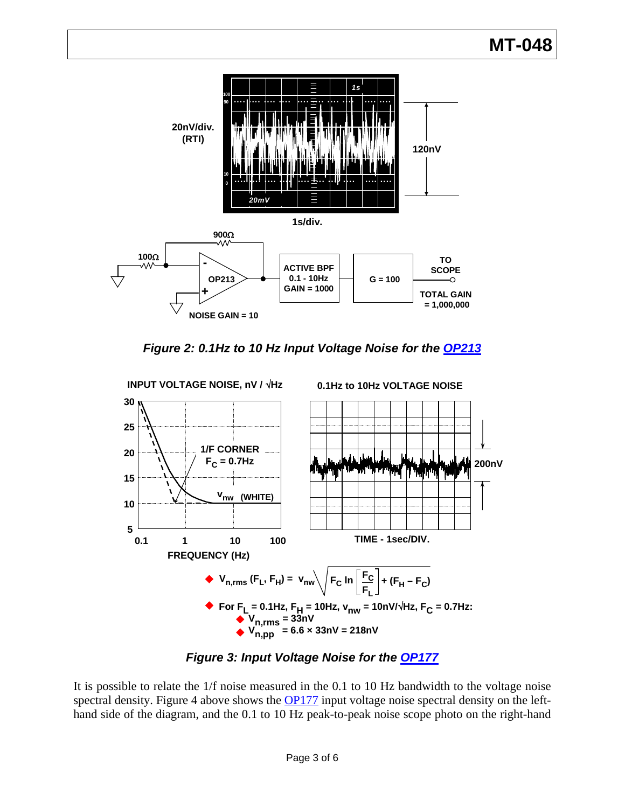

*Figure 2: 0.1Hz to 10 Hz Input Voltage Noise for the [OP213](http://www.analog.com/en/amplifiers-and-comparators/operational-amplifiers-op-amps/op213/products/product.html)*



*Figure 3: Input Voltage Noise for the [OP177](http://www.analog.com/en/amplifiers-and-comparators/operational-amplifiers-op-amps/op177/products/product.html)*

It is possible to relate the 1/f noise measured in the 0.1 to 10 Hz bandwidth to the voltage noise spectral density. Figure 4 above shows the **[OP177](http://www.analog.com/en/amplifiers-and-comparators/operational-amplifiers-op-amps/op177/products/product.html)** input voltage noise spectral density on the lefthand side of the diagram, and the 0.1 to 10 Hz peak-to-peak noise scope photo on the right-hand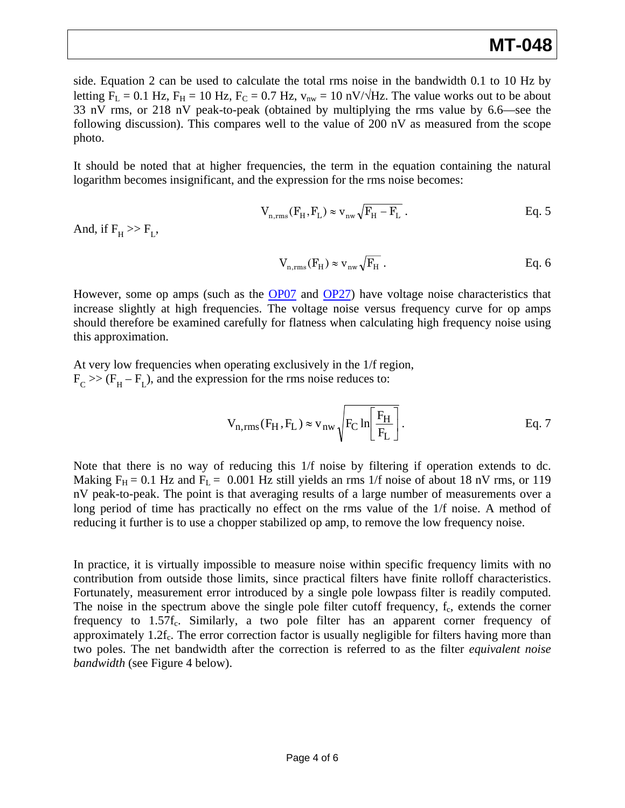# **MT-048**

side. Equation 2 can be used to calculate the total rms noise in the bandwidth 0.1 to 10 Hz by letting  $F_L = 0.1$  Hz,  $F_H = 10$  Hz,  $F_C = 0.7$  Hz,  $v_{nw} = 10$  nV/ $\sqrt{Hz}$ . The value works out to be about 33 nV rms, or 218 nV peak-to-peak (obtained by multiplying the rms value by 6.6—see the following discussion). This compares well to the value of 200 nV as measured from the scope photo.

It should be noted that at higher frequencies, the term in the equation containing the natural logarithm becomes insignificant, and the expression for the rms noise becomes:

$$
V_{n,rms}(F_H, F_L) \approx v_{nw} \sqrt{F_H - F_L} .
$$
 Eq. 5

And, if  $F_H \gg F_L$ ,

$$
V_{n,rms}(F_H) \approx v_{nw} \sqrt{F_H} .
$$
 Eq. 6

However, some op amps (such as the [OP07](http://www.analog.com/en/amplifiers-and-comparators/operational-amplifiers-op-amps/op07/products/product.html) and [OP27\)](http://www.analog.com/en/other/militaryaerospace/op27/products/product.html) have voltage noise characteristics that increase slightly at high frequencies. The voltage noise versus frequency curve for op amps should therefore be examined carefully for flatness when calculating high frequency noise using this approximation.

At very low frequencies when operating exclusively in the 1/f region,  $F_C$  >> ( $F_H - F_L$ ), and the expression for the rms noise reduces to:

$$
V_{n,rms}(F_H, F_L) \approx v_{nw} \sqrt{F_C \ln \left[ \frac{F_H}{F_L} \right]}
$$
. Eq. 7

Note that there is no way of reducing this 1/f noise by filtering if operation extends to dc. Making  $F_H = 0.1$  Hz and  $F_L = 0.001$  Hz still yields an rms 1/f noise of about 18 nV rms, or 119 nV peak-to-peak. The point is that averaging results of a large number of measurements over a long period of time has practically no effect on the rms value of the 1/f noise. A method of reducing it further is to use a chopper stabilized op amp, to remove the low frequency noise.

In practice, it is virtually impossible to measure noise within specific frequency limits with no contribution from outside those limits, since practical filters have finite rolloff characteristics. Fortunately, measurement error introduced by a single pole lowpass filter is readily computed. The noise in the spectrum above the single pole filter cutoff frequency,  $f_c$ , extends the corner frequency to  $1.57f_c$ . Similarly, a two pole filter has an apparent corner frequency of approximately  $1.2f_c$ . The error correction factor is usually negligible for filters having more than two poles. The net bandwidth after the correction is referred to as the filter *equivalent noise bandwidth* (see Figure 4 below).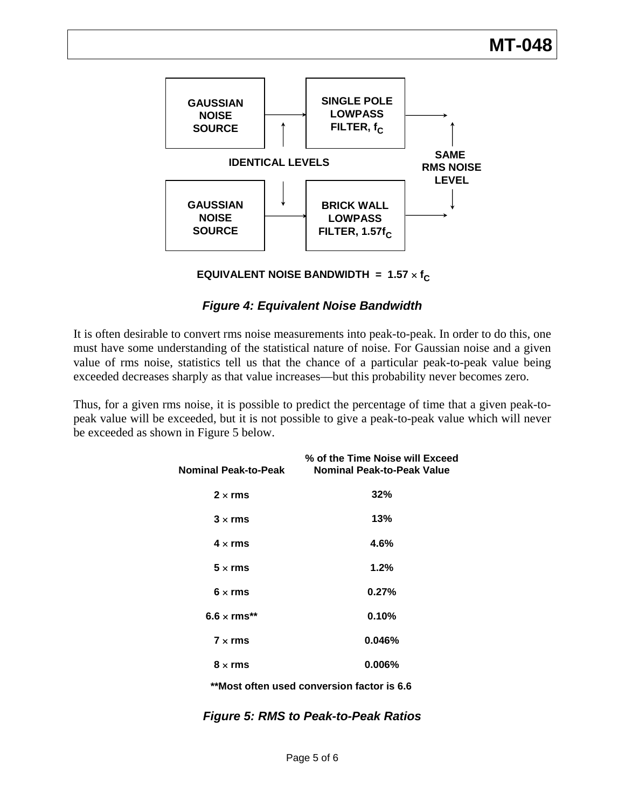

**EQUIVALENT NOISE BANDWIDTH = 1.57**  $\times$  **f<sub>C</sub>** 

### *Figure 4: Equivalent Noise Bandwidth*

It is often desirable to convert rms noise measurements into peak-to-peak. In order to do this, one must have some understanding of the statistical nature of noise. For Gaussian noise and a given value of rms noise, statistics tell us that the chance of a particular peak-to-peak value being exceeded decreases sharply as that value increases—but this probability never becomes zero.

Thus, for a given rms noise, it is possible to predict the percentage of time that a given peak-topeak value will be exceeded, but it is not possible to give a peak-to-peak value which will never be exceeded as shown in Figure 5 below.

| Nominal Peak-to-Peak | % of the Time Noise will Exceed<br><b>Nominal Peak-to-Peak Value</b> |
|----------------------|----------------------------------------------------------------------|
| $2 \times rms$       | 32%                                                                  |
| $3 \times rms$       | 13%                                                                  |
| $4 \times rms$       | 4.6%                                                                 |
| $5 \times rms$       | 1.2%                                                                 |
| $6 \times rms$       | 0.27%                                                                |
| $6.6 \times rms***$  | 0.10%                                                                |
| $7 \times rms$       | 0.046%                                                               |
| $8 \times rms$       | $0.006\%$                                                            |
|                      | **Most often used conversion factor is 6.6*                          |

## *Figure 5: RMS to Peak-to-Peak Ratios*